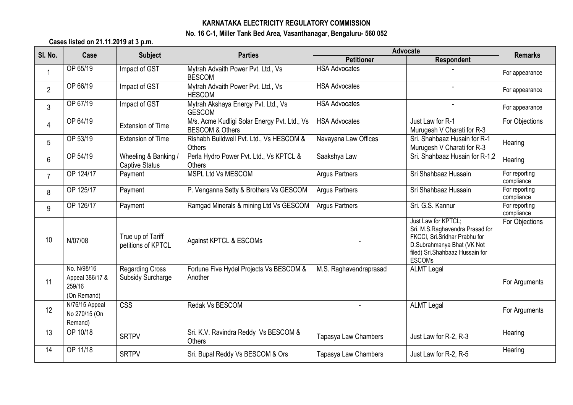## **KARNATAKA ELECTRICITY REGULATORY COMMISSION No. 16 C-1, Miller Tank Bed Area, Vasanthanagar, Bengaluru- 560 052**

**Cases listed on 21.11.2019 at 3 p.m.**

| SI. No.        | Case                                                    | <b>Subject</b>                                | <b>Parties</b>                                                             | <b>Advocate</b>        |                                                                                                                                                                           |                             |
|----------------|---------------------------------------------------------|-----------------------------------------------|----------------------------------------------------------------------------|------------------------|---------------------------------------------------------------------------------------------------------------------------------------------------------------------------|-----------------------------|
|                |                                                         |                                               |                                                                            | <b>Petitioner</b>      | <b>Respondent</b>                                                                                                                                                         | <b>Remarks</b>              |
| $\mathbf{1}$   | OP 65/19                                                | Impact of GST                                 | Mytrah Advaith Power Pvt. Ltd., Vs<br><b>BESCOM</b>                        | <b>HSA Advocates</b>   |                                                                                                                                                                           | For appearance              |
| $\overline{2}$ | OP 66/19                                                | Impact of GST                                 | Mytrah Advaith Power Pvt. Ltd., Vs<br><b>HESCOM</b>                        | <b>HSA Advocates</b>   |                                                                                                                                                                           | For appearance              |
| 3              | OP 67/19                                                | Impact of GST                                 | Mytrah Akshaya Energy Pvt. Ltd., Vs<br><b>GESCOM</b>                       | <b>HSA Advocates</b>   | $\overline{a}$                                                                                                                                                            | For appearance              |
| 4              | OP 64/19                                                | <b>Extension of Time</b>                      | M/s. Acme Kudligi Solar Energy Pvt. Ltd., Vs<br><b>BESCOM &amp; Others</b> | <b>HSA Advocates</b>   | Just Law for R-1<br>Murugesh V Charati for R-3                                                                                                                            | For Objections              |
| 5              | OP 53/19                                                | <b>Extension of Time</b>                      | Rishabh Buildwell Pvt. Ltd., Vs HESCOM &<br>Others                         | Navayana Law Offices   | Sri. Shahbaaz Husain for R-1<br>Murugesh V Charati for R-3                                                                                                                | Hearing                     |
| 6              | OP 54/19                                                | Wheeling & Banking /<br><b>Captive Status</b> | Perla Hydro Power Pvt. Ltd., Vs KPTCL &<br>Others                          | Saakshya Law           | Sri. Shahbaaz Husain for R-1,2                                                                                                                                            | Hearing                     |
| $\overline{7}$ | OP 124/17                                               | Payment                                       | MSPL Ltd Vs MESCOM                                                         | <b>Argus Partners</b>  | Sri Shahbaaz Hussain                                                                                                                                                      | For reporting<br>compliance |
| 8              | OP 125/17                                               | Payment                                       | P. Venganna Setty & Brothers Vs GESCOM                                     | <b>Argus Partners</b>  | Sri Shahbaaz Hussain                                                                                                                                                      | For reporting<br>compliance |
| 9              | OP 126/17                                               | Payment                                       | Ramgad Minerals & mining Ltd Vs GESCOM                                     | <b>Argus Partners</b>  | Sri. G.S. Kannur                                                                                                                                                          | For reporting<br>compliance |
| 10             | N/07/08                                                 | True up of Tariff<br>petitions of KPTCL       | Against KPTCL & ESCOMs                                                     |                        | Just Law for KPTCL;<br>Sri. M.S.Raghavendra Prasad for<br>FKCCI, Sri.Sridhar Prabhu for<br>D.Subrahmanya Bhat (VK Not<br>filed) Sri.Shahbaaz Hussain for<br><b>ESCOMs</b> | For Objections              |
| 11             | No. N/98/16<br>Appeal 386/17 &<br>259/16<br>(On Remand) | <b>Regarding Cross</b><br>Subsidy Surcharge   | Fortune Five Hydel Projects Vs BESCOM &<br>Another                         | M.S. Raghavendraprasad | <b>ALMT Legal</b>                                                                                                                                                         | For Arguments               |
| 12             | N/76/15 Appeal<br>No 270/15 (On<br>Remand)              | $\overline{\text{CSS}}$                       | Redak Vs BESCOM                                                            | $\sim$                 | <b>ALMT Legal</b>                                                                                                                                                         | For Arguments               |
| 13             | OP 10/18                                                | <b>SRTPV</b>                                  | Sri. K.V. Ravindra Reddy Vs BESCOM &<br>Others                             | Tapasya Law Chambers   | Just Law for R-2, R-3                                                                                                                                                     | Hearing                     |
| 14             | OP 11/18                                                | <b>SRTPV</b>                                  | Sri. Bupal Reddy Vs BESCOM & Ors                                           | Tapasya Law Chambers   | Just Law for R-2, R-5                                                                                                                                                     | Hearing                     |